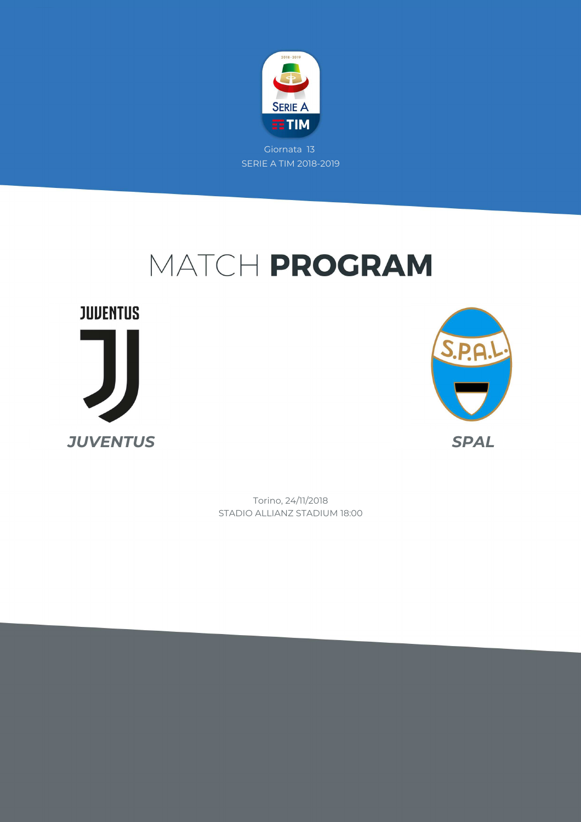

# MATCH PROGRAM

**JUVENTUS** *JUVENTUS SPAL*



STADIO ALLIANZ STADIUM 18:00 Torino, 24/11/2018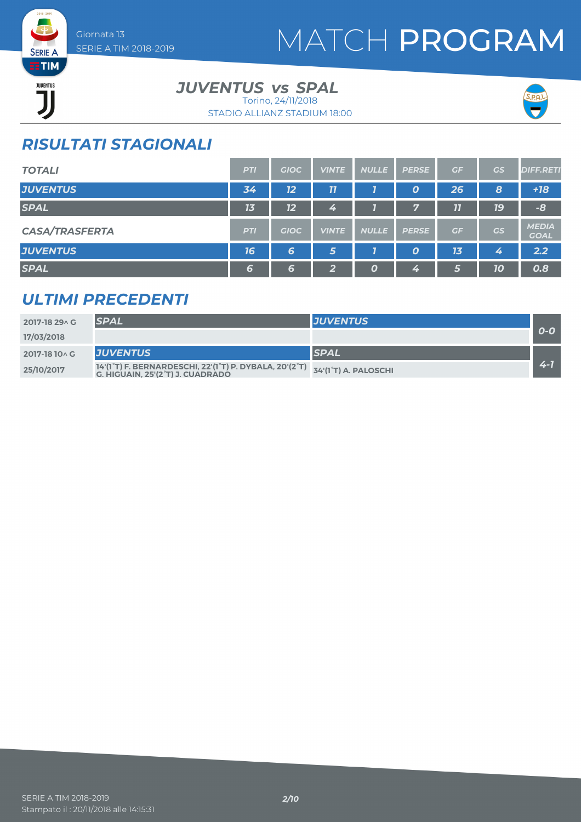# MATCH PROGRAM



### *JUVENTUS vs SPAL*

STADIO ALLIANZ STADIUM 18:00 Torino, 24/11/2018



### *RISULTATI STAGIONALI*

| <b>TOTALI</b>         | <b>PTI</b> | <b>GIOC</b> | <b>VINTE</b> | <b>NULLE</b> | <b>PERSE</b>     | GF | GS | <b>DIFF.RETI</b>            |
|-----------------------|------------|-------------|--------------|--------------|------------------|----|----|-----------------------------|
| <b>JUVENTUS</b>       | 34         | 12          | 77           |              | O                | 26 | 8  | $+18$                       |
| <b>SPAL</b>           | 13         | 12          | 4            |              | $\mathbf{r}$     | 11 | 19 | $-8$                        |
| <b>CASA/TRASFERTA</b> | <b>PTI</b> | <b>GIOC</b> | <b>VINTE</b> | <b>NULLE</b> | <b>PERSE</b>     | GF | GS | <b>MEDIA</b><br><b>GOAL</b> |
| <b>JUVENTUS</b>       | 16         | 6           | 5            |              | $\boldsymbol{0}$ | 13 | 4  | 2.2                         |
| <b>SPAL</b>           | 6          | 6           | 2            | Ο            | 4                | 5  | 10 | 0.8                         |

### *ULTIMI PRECEDENTI*

| 2017-18 29 \ G | <b>SPAL</b>                                                                                                                                                              | <b>JUVENTUS</b> |       |
|----------------|--------------------------------------------------------------------------------------------------------------------------------------------------------------------------|-----------------|-------|
| 17/03/2018     |                                                                                                                                                                          |                 | $O-O$ |
| 2017-18 10 \ G | <b>IJUVENTUS</b>                                                                                                                                                         | <b>SPAL</b>     |       |
| 25/10/2017     | $14$ '(1 $^{\circ}$ T) F. BERNARDESCHI, 22'(1 $^{\circ}$ T) P. DYBALA, 20'(2 $^{\circ}$ T) $\left[ 34$ '(1 $^{\circ}$ T) A. PALOSCHI<br>G. HIGUAIN. 25'(2°T) J. CUADRADO |                 | $2 -$ |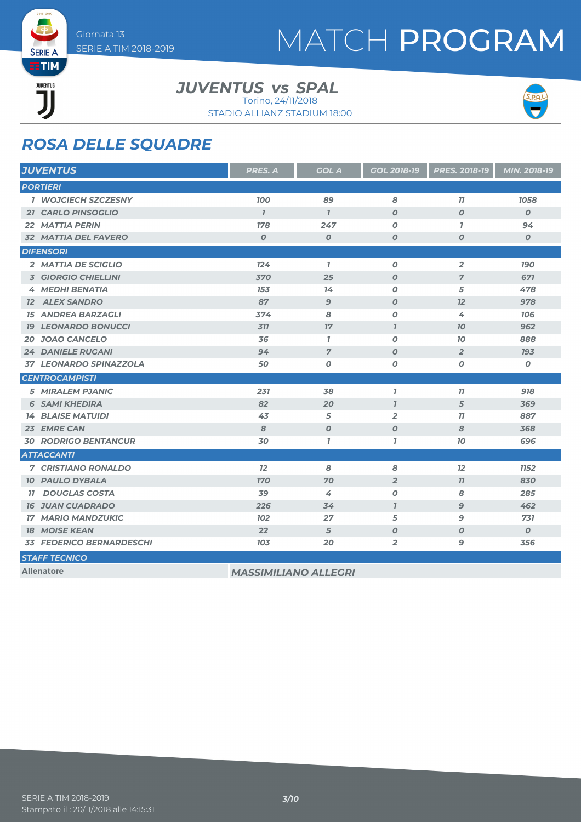# MATCH PROGRAM

**EETIM** JUVENTUS ור

**SERIE A** 

*JUVENTUS vs SPAL* 

Torino, 24/11/2018



STADIO ALLIANZ STADIUM 18:00

### *ROSA DELLE SQUADRE*

| <b>JUVENTUS</b>       |                                 | PRES. A                     | <b>GOL A</b>     | <b>GOL 2018-19</b> | <b>PRES. 2018-19</b> | MIN. 2018-19     |
|-----------------------|---------------------------------|-----------------------------|------------------|--------------------|----------------------|------------------|
| <b>PORTIERI</b>       |                                 |                             |                  |                    |                      |                  |
|                       | <b>1 WOJCIECH SZCZESNY</b>      | <b>100</b>                  | 89               | 8                  | 77                   | 1058             |
|                       | <b>21 CARLO PINSOGLIO</b>       | $\overline{1}$              | $\overline{1}$   | $\boldsymbol{O}$   | $\boldsymbol{O}$     | $\boldsymbol{0}$ |
| 22 MATTIA PERIN       |                                 | 178                         | 247              | 0                  | $\mathbf{7}$         | 94               |
|                       | <b>32 MATTIA DEL FAVERO</b>     | $\boldsymbol{0}$            | $\boldsymbol{O}$ | $\boldsymbol{O}$   | 0                    | $\boldsymbol{0}$ |
| <b>DIFENSORI</b>      |                                 |                             |                  |                    |                      |                  |
|                       | 2 MATTIA DE SCIGLIO             | 124                         | $\mathbf{7}$     | $\boldsymbol{O}$   | $\overline{2}$       | <b>190</b>       |
|                       | <b>3 GIORGIO CHIELLINI</b>      | 370                         | 25               | $\boldsymbol{O}$   | $\overline{7}$       | 671              |
|                       | 4 MEDHI BENATIA                 | 153                         | 14               | O                  | 5                    | 478              |
| <b>12 ALEX SANDRO</b> |                                 | 87                          | $\mathbf{9}$     | $\boldsymbol{O}$   | 12                   | 978              |
|                       | <b>15 ANDREA BARZAGLI</b>       | 374                         | 8                | O                  | 4                    | 706              |
|                       | <b>19 LEONARDO BONUCCI</b>      | 311                         | 17               | $\mathbf{I}$       | 70                   | 962              |
|                       | 20 JOAO CANCELO                 | 36                          | $\mathbf{7}$     | O                  | 10                   | 888              |
|                       | <b>24 DANIELE RUGANI</b>        | 94                          | $\overline{7}$   | $\boldsymbol{O}$   | $\overline{2}$       | <b>193</b>       |
|                       | 37 LEONARDO SPINAZZOLA          | 50                          | 0                | O                  | 0                    | $\pmb{o}$        |
| <b>CENTROCAMPISTI</b> |                                 |                             |                  |                    |                      |                  |
|                       | <b>5 MIRALEM PJANIC</b>         | 231                         | 38               | $\mathbf{7}$       | 77                   | 918              |
|                       | <b>6 SAMI KHEDIRA</b>           | 82                          | 20               | $\mathbf{I}$       | 5                    | 369              |
|                       | <b>14 BLAISE MATUIDI</b>        | 43                          | 5                | 2                  | 77                   | 887              |
| 23 EMRE CAN           |                                 | 8                           | O                | $\boldsymbol{O}$   | 8                    | 368              |
|                       | <b>30 RODRIGO BENTANCUR</b>     | 30                          | $\mathbf{7}$     | $\mathbf{I}$       | 70                   | 696              |
| <b>ATTACCANTI</b>     |                                 |                             |                  |                    |                      |                  |
|                       | <b>7 CRISTIANO RONALDO</b>      | 12                          | 8                | 8                  | 12                   | <b>1152</b>      |
|                       | <b>10 PAULO DYBALA</b>          | <b>170</b>                  | 70               | $\overline{2}$     | 77                   | 830              |
| 77                    | <b>DOUGLAS COSTA</b>            | 39                          | 4                | O                  | 8                    | 285              |
|                       | <b>16 JUAN CUADRADO</b>         | 226                         | 34               | $\overline{1}$     | $\overline{9}$       | 462              |
|                       | <b>17 MARIO MANDZUKIC</b>       | <b>102</b>                  | 27               | 5                  | 9                    | 731              |
| <b>18 MOISE KEAN</b>  |                                 | 22                          | 5                | $\boldsymbol{O}$   | $\boldsymbol{O}$     | $\boldsymbol{0}$ |
|                       | <b>33 FEDERICO BERNARDESCHI</b> | 103                         | 20               | $\overline{2}$     | 9                    | 356              |
| <b>STAFF TECNICO</b>  |                                 |                             |                  |                    |                      |                  |
| <b>Allenatore</b>     |                                 | <b>MASSIMILIANO ALLEGRI</b> |                  |                    |                      |                  |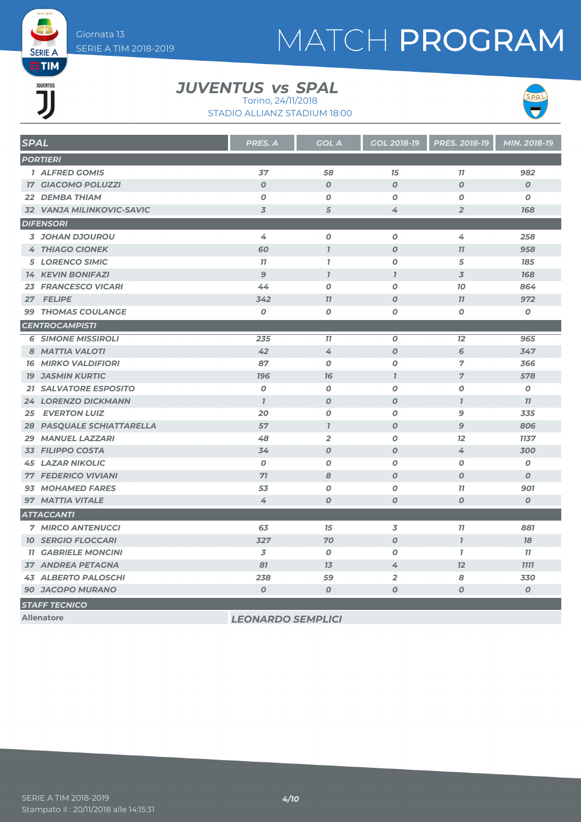# MATCH PROGRAM

## **EETIM** JUVENTUS JJ

**SERIE A** 

#### *JUVENTUS vs SPAL*

STADIO ALLIANZ STADIUM 18:00 Torino, 24/11/2018



| <b>SPAL</b>                      | <b>PRES. A</b>           | <b>GOL A</b>     | GOL 2018-19             | PRES. 2018-19    | MIN. 2018-19     |
|----------------------------------|--------------------------|------------------|-------------------------|------------------|------------------|
| <b>PORTIERI</b>                  |                          |                  |                         |                  |                  |
| 1 ALFRED GOMIS                   | 37                       | 58               | 15                      | 11               | 982              |
| <b>17 GIACOMO POLUZZI</b>        | $\boldsymbol{O}$         | $\boldsymbol{O}$ | $\boldsymbol{O}$        | $\boldsymbol{O}$ | $\boldsymbol{O}$ |
| 22 DEMBA THIAM                   | $\boldsymbol{O}$         | $\boldsymbol{0}$ | 0                       | O                | $\boldsymbol{o}$ |
| 32 VANJA MILINKOVIC-SAVIC        | 3                        | 5                | 4                       | $\overline{2}$   | 168              |
| <b>DIFENSORI</b>                 |                          |                  |                         |                  |                  |
| 3 JOHAN DJOUROU                  | 4                        | $\boldsymbol{o}$ | $\boldsymbol{0}$        | 4                | 258              |
| <b>4 THIAGO CIONEK</b>           | 60                       | $\overline{1}$   | $\boldsymbol{O}$        | 77               | 958              |
| <b>5 LORENCO SIMIC</b>           | 11                       | $\mathbf{7}$     | 0                       | 5                | 185              |
| <b>14 KEVIN BONIFAZI</b>         | 9                        | $\overline{1}$   | $\overline{I}$          | 3                | 168              |
| <b>23 FRANCESCO VICARI</b>       | 44                       | $\boldsymbol{O}$ | $\boldsymbol{o}$        | 70               | 864              |
| 27 FELIPE                        | 342                      | 11               | 0                       | 77               | 972              |
| <b>99 THOMAS COULANGE</b>        | $\boldsymbol{0}$         | $\boldsymbol{o}$ | 0                       | O                | $\boldsymbol{o}$ |
| <b>CENTROCAMPISTI</b>            |                          |                  |                         |                  |                  |
| <b>6 SIMONE MISSIROLI</b>        | 235                      | 11               | $\boldsymbol{o}$        | 12               | 965              |
| 8 MATTIA VALOTI                  | 42                       | 4                | $\boldsymbol{O}$        | 6                | 347              |
| <b>16 MIRKO VALDIFIORI</b>       | 87                       | $\boldsymbol{0}$ | 0                       | 7                | 366              |
| <b>19 JASMIN KURTIC</b>          | <b>196</b>               | 76               | $\overline{1}$          | $\overline{7}$   | 578              |
| <b>21 SALVATORE ESPOSITO</b>     | $\boldsymbol{o}$         | $\boldsymbol{0}$ | 0                       | $\boldsymbol{o}$ | O                |
| <b>24 LORENZO DICKMANN</b>       | $\mathbf{I}$             | $\boldsymbol{0}$ | $\boldsymbol{0}$        | $\mathbf{I}$     | 77               |
| <b>25 EVERTON LUIZ</b>           | 20                       | $\boldsymbol{O}$ | 0                       | 9                | 335              |
| <b>28 PASQUALE SCHIATTARELLA</b> | 57                       | $\mathbf{I}$     | $\boldsymbol{o}$        | 9                | 806              |
| <b>29 MANUEL LAZZARI</b>         | 48                       | $\overline{2}$   | 0                       | 12               | 1137             |
| <b>33 FILIPPO COSTA</b>          | 34                       | $\boldsymbol{0}$ | $\boldsymbol{0}$        | 4                | 300              |
| <b>45 LAZAR NIKOLIC</b>          | $\boldsymbol{0}$         | $\boldsymbol{0}$ | O                       | 0                | $\boldsymbol{o}$ |
| <b>77 FEDERICO VIVIANI</b>       | 71                       | 8                | $\boldsymbol{0}$        | $\boldsymbol{O}$ | $\boldsymbol{O}$ |
| 93 MOHAMED FARES                 | 53                       | 0                | Ο                       | 11               | 901              |
| 97 MATTIA VITALE                 | 4                        | $\boldsymbol{O}$ | $\boldsymbol{0}$        | $\boldsymbol{O}$ | $\boldsymbol{o}$ |
| <b>ATTACCANTI</b>                |                          |                  |                         |                  |                  |
| <b>7 MIRCO ANTENUCCI</b>         | 63                       | 15               | 3                       | 77               | 881              |
| <b>10 SERGIO FLOCCARI</b>        | 327                      | 70               | $\boldsymbol{O}$        | $\overline{I}$   | 78               |
| <b>11 GABRIELE MONCINI</b>       | 3                        | $\boldsymbol{0}$ | O                       | $\mathbf{7}$     | 77               |
| <b>37 ANDREA PETAGNA</b>         | 81                       | 7 <sub>3</sub>   | 4                       | 12               | <b>7777</b>      |
| <b>43 ALBERTO PALOSCHI</b>       | 238                      | 59               | $\overline{\mathbf{2}}$ | 8                | 330              |
| <b>90 JACOPO MURANO</b>          | $\boldsymbol{O}$         | $\boldsymbol{O}$ | $\boldsymbol{0}$        | 0                | $\pmb{o}$        |
| <b>STAFF TECNICO</b>             |                          |                  |                         |                  |                  |
| <b>Allenatore</b>                | <b>LEONARDO SEMPLICI</b> |                  |                         |                  |                  |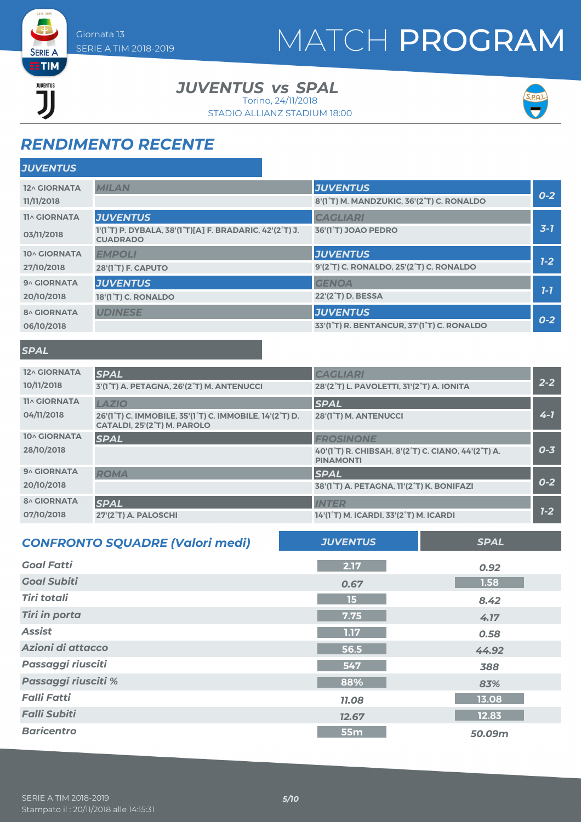# MATCH PROGRAM

**ETIM** JUVENTUS

**SERIE A** 

*JUVENTUS vs SPAL* 

STADIO ALLIANZ STADIUM 18:00 Torino, 24/11/2018



### *RENDIMENTO RECENTE*

| <b>JUVENTUS</b>     |                                                                            |                                                                      |         |
|---------------------|----------------------------------------------------------------------------|----------------------------------------------------------------------|---------|
| 12^ GIORNATA        | <b>MILAN</b>                                                               | <b>JUVENTUS</b>                                                      | $0-2$   |
| 11/11/2018          |                                                                            | 8'(1°T) M. MANDZUKIC, 36'(2°T) C. RONALDO                            |         |
| <b>11^ GIORNATA</b> | <b>JUVENTUS</b>                                                            | <b>CAGLIARI</b>                                                      |         |
| 03/11/2018          | 1'(1°T) P. DYBALA, 38'(1°T)[A] F. BRADARIC, 42'(2°T) J.<br><b>CUADRADO</b> | 36'(1 <sup>°</sup> T) JOAO PEDRO                                     | $3 - 7$ |
| 10^ GIORNATA        | <b>EMPOLI</b>                                                              | <b>JUVENTUS</b>                                                      |         |
| 27/10/2018          | 28'(1 <sup>°</sup> T) F. CAPUTO                                            | 9'(2 <sup>°</sup> T) C. RONALDO, 25'(2 <sup>°</sup> T) C. RONALDO    | $7-2$   |
| 9^ GIORNATA         | <b>JUVENTUS</b>                                                            | <b>GENOA</b>                                                         |         |
| 20/10/2018          | 18'(1 <sup>°</sup> T) C. RONALDO                                           | 22'(2 <sup>°</sup> T) D. BESSA                                       | $1 - 7$ |
| <b>8^ GIORNATA</b>  | <b>UDINESE</b>                                                             | <b>JUVENTUS</b>                                                      |         |
| 06/10/2018          |                                                                            | 33'(1 <sup>°</sup> T) R. BENTANCUR, 37'(1 <sup>°</sup> T) C. RONALDO | $0 - 2$ |

#### *SPAL*

| 12^ GIORNATA<br>10/11/2018        | <b>SPAL</b><br>3'(1°T) A. PETAGNA, 26'(2°T) M. ANTENUCCI                                                                                                   | <b>CAGLIARI</b><br>28'(2°T) L. PAVOLETTI, 31'(2°T) A. IONITA                               | $2 - 2$ |
|-----------------------------------|------------------------------------------------------------------------------------------------------------------------------------------------------------|--------------------------------------------------------------------------------------------|---------|
| <b>11^ GIORNATA</b><br>04/11/2018 | <b>LAZIO</b><br>26'(1 <sup>°</sup> T) C. IMMOBILE, 35'(1 <sup>°</sup> T) C. IMMOBILE, 14'(2 <sup>°</sup> T) D.<br>CATALDI, 25'(2 <sup>°</sup> T) M. PAROLO | <b>SPAL</b><br>28'(1°T) M. ANTENUCCI                                                       | $4 - 7$ |
| 10^ GIORNATA<br>28/10/2018        | <b>SPAL</b>                                                                                                                                                | <b>FROSINONE</b><br>40'(1°T) R. CHIBSAH, 8'(2°T) C. CIANO, 44'(2°T) A.<br><b>PINAMONTI</b> | $0 - 3$ |
| 9^ GIORNATA<br>20/10/2018         | <b>ROMA</b>                                                                                                                                                | <b>SPAL</b><br>38'(1°T) A. PETAGNA, 11'(2°T) K. BONIFAZI                                   | $0 - 2$ |
| <b>8^ GIORNATA</b><br>07/10/2018  | <b>SPAL</b><br>27'(2°T) A. PALOSCHI                                                                                                                        | <b>INTER</b><br>14'(1°T) M. ICARDI, 33'(2°T) M. ICARDI                                     | $1 - 2$ |

| <b>CONFRONTO SQUADRE (Valori medi)</b> | <b>JUVENTUS</b> | <b>SPAL</b> |
|----------------------------------------|-----------------|-------------|
| <b>Goal Fatti</b>                      | 2.17            | 0.92        |
| <b>Goal Subiti</b>                     | 0.67            | 1.58        |
| <b>Tiri totali</b>                     | 15              | 8.42        |
| <b>Tiri in porta</b>                   | 7.75            | 4.17        |
| <b>Assist</b>                          | 1.17            | 0.58        |
| Azioni di attacco                      | 56.5            | 44.92       |
| Passaggi riusciti                      | 547             | 388         |
| Passaggi riusciti %                    | 88%             | 83%         |
| <b>Falli Fatti</b>                     | <b>11.08</b>    | 13.08       |
| <b>Falli Subiti</b>                    | 12.67           | 12.83       |
| <b>Baricentro</b>                      | 55 <sub>m</sub> | 50.09m      |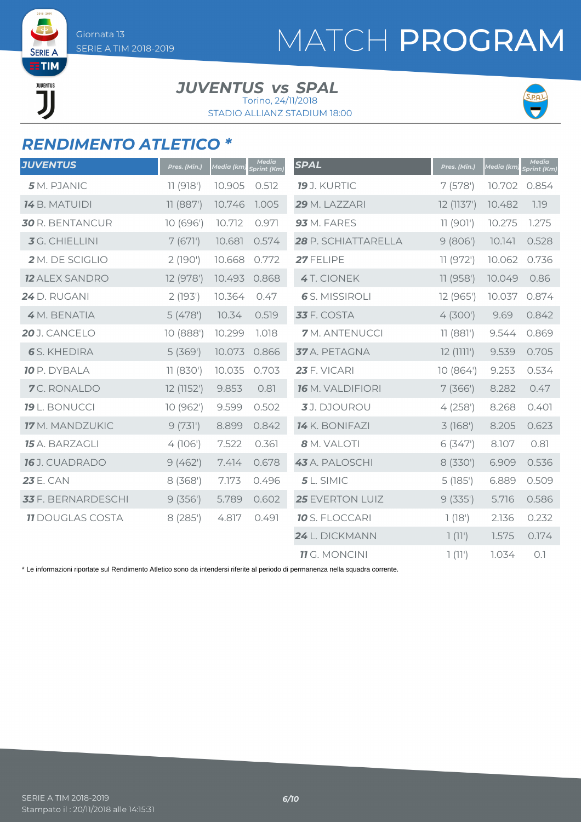SERIE / **ETIM** JUVENTUS ור

# MATCH PROGRAM

#### *JUVENTUS vs SPAL*

STADIO ALLIANZ STADIUM 18:00 Torino, 24/11/2018



### *RENDIMENTO ATLETICO \**

| <b>JUVENTUS</b>         | Pres. (Min.) | <b>Media</b> (km) | <b>Media</b><br>Sprint (Km) | <b>SPAL</b>           | Pres. (Min.) | <b>Media</b> (km) | <b>Media</b><br>Sprint (Km) |
|-------------------------|--------------|-------------------|-----------------------------|-----------------------|--------------|-------------------|-----------------------------|
| 5 M. PJANIC             | 11(918)      | 10.905            | 0.512                       | <b>19</b> J. KURTIC   | 7(578)       | 10.702            | 0.854                       |
| <b>14</b> B. MATUIDI    | 11(887)      | 10.746            | 1.005                       | 29 M. LAZZARI         | 12 (1137')   | 10.482            | 1.19                        |
| <b>30</b> R. BENTANCUR  | 10 (696')    | 10.712            | 0.971                       | 93 M. FARES           | 11 (901')    | 10.275            | 1.275                       |
| <b>3</b> G. CHIELLINI   | 7(671)       | 10.681            | 0.574                       | 28 P. SCHIATTARELLA   | 9(806)       | 10.141            | 0.528                       |
| 2 M. DE SCIGLIO         | 2(190)       | 10.668            | 0.772                       | 27 FELIPE             | 11 (972')    | 10.062            | 0.736                       |
| <b>12 ALEX SANDRO</b>   | 12 (978')    | 10.493            | 0.868                       | 4T. CIONEK            | 11 (958')    | 10.049            | 0.86                        |
| <b>24</b> D. RUGANI     | 2(193)       | 10.364            | 0.47                        | <b>6</b> S. MISSIROLI | 12 (965')    | 10.037            | 0.874                       |
| 4 M. BENATIA            | 5(478)       | 10.34             | 0.519                       | <b>33</b> F. COSTA    | 4(300)       | 9.69              | 0.842                       |
| 20 J. CANCELO           | 10 (888')    | 10.299            | 1.018                       | <b>7</b> M. ANTENUCCI | 11(881)      | 9.544             | 0.869                       |
| <b>6</b> S. KHEDIRA     | 5(369)       | 10.073            | 0.866                       | 37 A. PETAGNA         | $12$ (1111') | 9.539             | 0.705                       |
| <b>10</b> P. DYBALA     | 11(830)      | 10.035            | 0.703                       | 23 F. VICARI          | 10(864)      | 9.253             | 0.534                       |
| 7C. RONALDO             | 12 (1152')   | 9.853             | 0.81                        | 16 M. VALDIFIORI      | 7(366)       | 8.282             | 0.47                        |
| <b>19</b> L. BONUCCI    | 10 (962')    | 9.599             | 0.502                       | 3J. DJOUROU           | 4(258)       | 8.268             | 0.401                       |
| <b>17</b> M. MANDZUKIC  | 9(731)       | 8.899             | 0.842                       | 14 K. BONIFAZI        | 3(168)       | 8.205             | 0.623                       |
| 15 A. BARZAGLI          | 4(106)       | 7.522             | 0.361                       | 8 M. VALOTI           | 6(347)       | 8.107             | 0.81                        |
| <b>16</b> J. CUADRADO   | 9(462)       | 7.414             | 0.678                       | 43 A. PALOSCHI        | 8 (330')     | 6.909             | 0.536                       |
| <b>23 E. CAN</b>        | 8(368)       | 7.173             | 0.496                       | $5L$ . SIMIC          | 5(185)       | 6.889             | 0.509                       |
| 33 F. BERNARDESCHI      | 9(356)       | 5.789             | 0.602                       | 25 EVERTON LUIZ       | 9(335)       | 5.716             | 0.586                       |
| <b>11 DOUGLAS COSTA</b> | 8 (285')     | 4.817             | 0.491                       | <b>10</b> S. FLOCCARI | 1(18')       | 2.136             | 0.232                       |
|                         |              |                   |                             | 24 L. DICKMANN        | 1(11')       | 1.575             | 0.174                       |
|                         |              |                   |                             | <b>11</b> G. MONCINI  | 1(11')       | 1.034             | O.1                         |

\* Le informazioni riportate sul Rendimento Atletico sono da intendersi riferite al periodo di permanenza nella squadra corrente.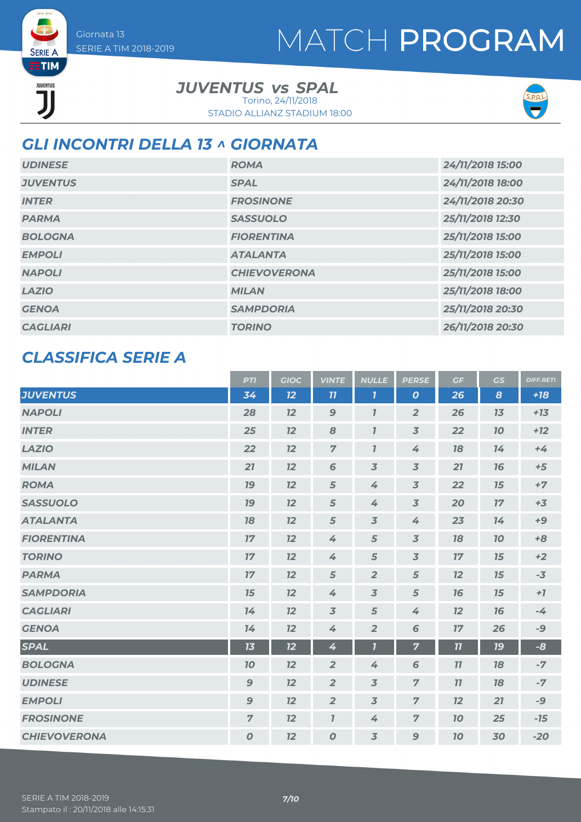# MATCH PROGRAM

**SERIE A ETIM** JUVENTUS

*JUVENTUS vs SPAL* Torino, 24/11/2018

STADIO ALLIANZ STADIUM 18:00



### *GLI INCONTRI DELLA 13 ^ GIORNATA*

| <b>UDINESE</b>  | <b>ROMA</b>         | 24/11/2018 15:00 |
|-----------------|---------------------|------------------|
| <b>JUVENTUS</b> | <b>SPAL</b>         | 24/11/2018 18:00 |
| <b>INTER</b>    | <b>FROSINONE</b>    | 24/11/2018 20:30 |
| <b>PARMA</b>    | <b>SASSUOLO</b>     | 25/11/2018 12:30 |
| <b>BOLOGNA</b>  | <b>FIORENTINA</b>   | 25/11/2018 15:00 |
| <b>EMPOLI</b>   | <b>ATALANTA</b>     | 25/11/2018 15:00 |
| <b>NAPOLI</b>   | <b>CHIEVOVERONA</b> | 25/11/2018 15:00 |
| <b>LAZIO</b>    | <b>MILAN</b>        | 25/11/2018 18:00 |
| <b>GENOA</b>    | <b>SAMPDORIA</b>    | 25/11/2018 20:30 |
| <b>CAGLIARI</b> | <b>TORINO</b>       | 26/11/2018 20:30 |

### *CLASSIFICA SERIE A*

|                     | <b>PTI</b>       | <b>GIOC</b> | <b>VINTE</b>   | <b>NULLE</b>            | <b>PERSE</b>             | GF | GS        | <b>DIFF.RETI</b> |
|---------------------|------------------|-------------|----------------|-------------------------|--------------------------|----|-----------|------------------|
| <b>JUVENTUS</b>     | 34               | 12          | 11             | $\mathbf{7}$            | $\boldsymbol{o}$         | 26 | 8         | $+18$            |
| <b>NAPOLI</b>       | 28               | 12          | 9              | $\mathbf{7}$            | $\overline{2}$           | 26 | 13        | $+13$            |
| <b>INTER</b>        | 25               | 12          | 8              | $\bf{7}$                | $\overline{3}$           | 22 | 10        | $+12$            |
| <b>LAZIO</b>        | 22               | 12          | $\overline{7}$ | $\mathbf{7}$            | $\measuredangle$         | 78 | 14        | $+4$             |
| <b>MILAN</b>        | 21               | 12          | 6              | $\overline{3}$          | $\overline{3}$           | 21 | 76        | $+5$             |
| <b>ROMA</b>         | 19               | 12          | 5              | 4                       | $\overline{3}$           | 22 | 15        | $+7$             |
| <b>SASSUOLO</b>     | 19               | 12          | 5              | 4                       | $\overline{\mathcal{Z}}$ | 20 | 17        | $+3$             |
| <b>ATALANTA</b>     | 18               | 12          | 5              | $\overline{3}$          | 4                        | 23 | 14        | $+9$             |
| <b>FIORENTINA</b>   | 17               | 12          | 4              | 5                       | $\overline{3}$           | 78 | 10        | $+8$             |
| <b>TORINO</b>       | 17               | 12          | 4              | $\sqrt{5}$              | $\overline{\mathcal{Z}}$ | 17 | 15        | $+2$             |
| <b>PARMA</b>        | 17               | 12          | 5              | $\overline{2}$          | 5                        | 12 | 15        | $-3$             |
| <b>SAMPDORIA</b>    | 15               | 12          | 4              | $\overline{3}$          | 5                        | 16 | 15        | $+7$             |
| <b>CAGLIARI</b>     | 14               | 12          | $\overline{3}$ | 5                       | 4                        | 12 | 76        | $-4$             |
| <b>GENOA</b>        | 14               | 12          | 4              | $\overline{2}$          | 6                        | 17 | 26        | $-9$             |
| <b>SPAL</b>         | 13               | 12          | 4              | $\overline{\mathbf{I}}$ | $\overline{7}$           | 11 | <b>19</b> | $-8$             |
| <b>BOLOGNA</b>      | 10               | 12          | $\overline{2}$ | 4                       | 6                        | 11 | 18        | $-7$             |
| <b>UDINESE</b>      | $\mathbf{9}$     | 12          | $\overline{2}$ | $\overline{3}$          | $\overline{z}$           | 11 | 18        | $-7$             |
| <b>EMPOLI</b>       | $\mathbf{9}$     | 12          | $\overline{2}$ | $\overline{3}$          | $\overline{z}$           | 12 | 21        | -9               |
| <b>FROSINONE</b>    | $\overline{7}$   | 12          | $\overline{I}$ | 4                       | $\overline{7}$           | 10 | 25        | $-15$            |
| <b>CHIEVOVERONA</b> | $\boldsymbol{O}$ | 12          | $\overline{O}$ | $\overline{3}$          | $\mathbf{9}$             | 70 | 30        | $-20$            |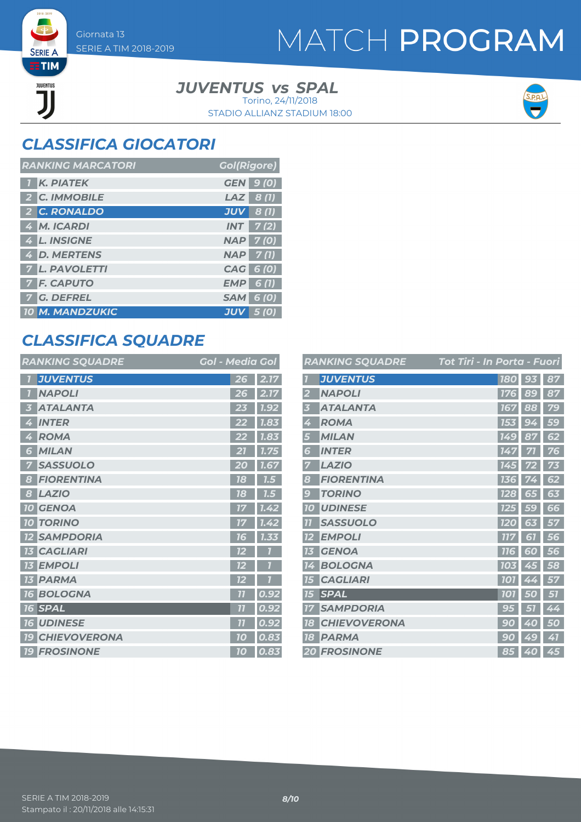**SERIE A ETIM** JUVENTUS

## MATCH PROGRAM

#### *JUVENTUS vs SPAL* Torino, 24/11/2018

STADIO ALLIANZ STADIUM 18:00



### *CLASSIFICA GIOCATORI*

| <b>RANKING MARCATORI</b> | <b>Gol(Rigore)</b>          |
|--------------------------|-----------------------------|
| <b>K. PIATEK</b>         | <b>GEN</b><br>9(0)          |
| 2 C. IMMOBILE            | <b>LAZ</b><br>$\vert$ 8 (1) |
| 2 C. RONALDO             | <b>JUV</b><br>8(1)          |
| 4 M. ICARDI              | 7 (2)<br><b>INT</b>         |
| 4 L. INSIGNE             | $NAP$ 7 (0)                 |
| <b>4 D. MERTENS</b>      | 7(1)<br><b>NAP</b>          |
| 7 L. PAVOLETTI           | CAG 6 (0)                   |
| <b>F. CAPUTO</b>         | <b>EMP</b><br>6(1)          |
| <b>7 G. DEFREL</b>       | <b>SAM</b><br><b>6</b> (0)  |
| <b>10 M. MANDZUKIC</b>   | JUV                         |

### *CLASSIFICA SQUADRE*

| <b>RANKING SQUADRE</b>            | <b>Gol - Media Gol</b> |                   |
|-----------------------------------|------------------------|-------------------|
| <b>JUVENTUS</b><br>ī.             | 26                     | $\overline{2.17}$ |
| <b>NAPOLI</b>                     | 26                     | 2.17              |
| <b>ATALANTA</b><br>Ŀ.             | 23                     | 1.92              |
| <b>INTER</b><br>Ø                 | 22                     | 1.83              |
| <b>ROMA</b><br>4                  | 22                     | 7.83              |
| <b>MILAN</b><br>6                 |                        | 1.75              |
| <b>SASSUOLO</b>                   | O                      | 1.67              |
| <b>FIORENTINA</b><br>8            | 18                     | 7.5               |
| <b>LAZIO</b><br>8                 | 18                     | 7.5               |
| <b>10 GENOA</b>                   | 17                     | 1.42              |
| <b>TORINO</b><br><b>10</b>        | 17                     | 1.42              |
| <b>SAMPDORIA</b>                  | 16                     | 7.33              |
| <b>CAGLIARI</b>                   | 12                     |                   |
| <b>EMPOLI</b><br>13               | 12                     |                   |
| <b>PARMA</b><br>13                | 12                     |                   |
| <b>BOLOGNA</b><br><b>16</b>       | $\overline{11}$        | 0.92              |
| <b>SPAL</b><br>16                 | 77                     | 0.92              |
| <b>UDINESE</b><br>16 <sup>1</sup> | 77                     | 0.92              |
| <b>CHIEVOVERONA</b><br><b>19</b>  | 10                     | 0.83              |
| <b>19 FROSINONE</b>               | 10                     | 0.83              |

|                         | <b>RANKING SQUADRE</b> | Tot Tiri - In Porta - Fuori |                 |    |
|-------------------------|------------------------|-----------------------------|-----------------|----|
|                         | <b>JUVENTUS</b>        |                             | 180 93          | 87 |
| $\overline{\mathbf{2}}$ | <b>NAPOLI</b>          | <b>176</b>                  | 89              | 87 |
| 3                       | <b>ATALANTA</b>        | 167                         | 88              | 79 |
| 4                       | <b>ROMA</b>            | 153                         | 94              | 59 |
| 5                       | <b>MILAN</b>           | 149                         | 87              | 62 |
| 6                       | <b>INTER</b>           | 147                         | 71              | 76 |
| 7                       | <b>LAZIO</b>           | 145                         |                 | 73 |
| 8                       | <b>FIORENTINA</b>      | 136                         |                 | 62 |
| $\overline{9}$          | <b>TORINO</b>          | <b>128</b>                  | 65              | 63 |
| <b>10</b>               | <b>UDINESE</b>         | <b>125</b>                  | <b>59</b>       | 66 |
| $\overline{1}$          | <b>SASSUOLO</b>        | <b>120</b>                  | 63              | 57 |
| <b>12</b>               | <b>EMPOLI</b>          | <b>117</b>                  | 61              | 56 |
| 13                      | <b>GENOA</b>           | <b>116</b>                  | 60              | 56 |
| 14                      | <b>BOLOGNA</b>         | <b>103</b>                  | 45              | 58 |
| 15                      | <b>CAGLIARI</b>        | <b>101</b>                  | 44              | 57 |
| 15                      | <b>SPAL</b>            | <b>101</b>                  | 50              | 57 |
| 17                      | <b>SAMPDORIA</b>       | 95                          | $\overline{51}$ | 44 |
| 18                      | <b>CHIEVOVERONA</b>    | 9<br>$\overline{0}$         | Ą<br>0          | 50 |
| 18                      | <b>PARMA</b>           | -90                         | 49              | 41 |
|                         | <b>20 FROSINONE</b>    |                             | 85 40           | 45 |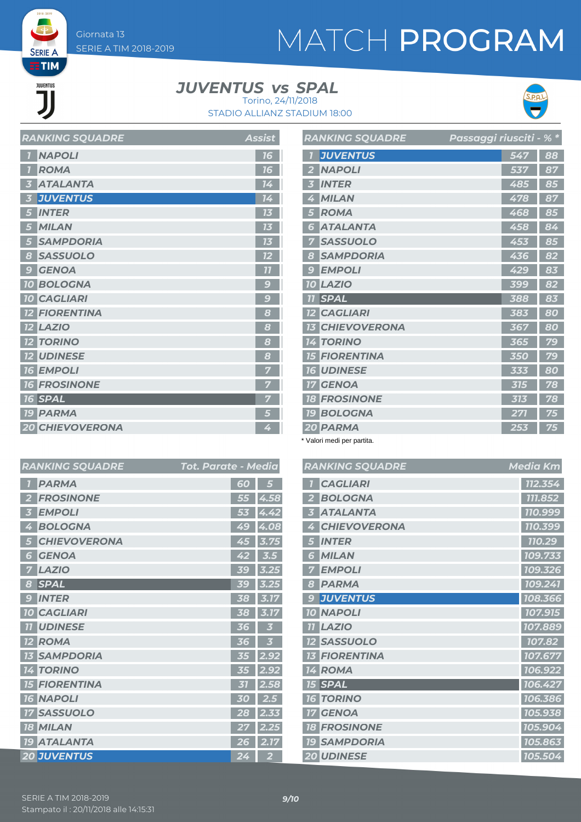# MATCH PROGRAM

**THE** JUVENTUS

**SERIE A** 

#### *JUVENTUS vs SPAL* Torino, 24/11/2018

STADIO ALLIANZ STADIUM 18:00



| <b>RANKING SQUADRE</b> | <b>Assist</b>   |
|------------------------|-----------------|
| <b>NAPOLI</b>          | 16              |
| <b>ROMA</b>            | 16              |
| <b>ATALANTA</b>        | 14              |
| <b>JUVENTUS</b>        | 14              |
| <b>INTER</b>           | 73              |
| <b>MILAN</b>           | 13              |
| <b>SAMPDORIA</b>       | 73              |
| <b>SASSUOLO</b><br>8   | 72              |
| <b>GENOA</b><br>9      | $\overline{11}$ |
| <b>10 BOLOGNA</b>      | 9               |
| <b>10 CAGLIARI</b>     | $\mathcal{G}$   |
| <b>12 FIORENTINA</b>   | 8               |
| <b>12 LAZIO</b>        | 8               |
| <b>12 TORINO</b>       | 8               |
| <b>12 UDINESE</b>      | 8               |
| <b>16 EMPOLI</b>       |                 |
| <b>16 FROSINONE</b>    |                 |
| <b>16 SPAL</b>         |                 |
| <b>19 PARMA</b>        | 5               |
| <b>20 CHIEVOVERONA</b> | 4               |

| <b>RANKING SQUADRE</b>    | <mark>Passaggi riusciti - % *</mark> |     |    |
|---------------------------|--------------------------------------|-----|----|
| <b>JUVENTUS</b>           |                                      | 547 | 88 |
| <b>NAPOLI</b>             |                                      | 537 | 87 |
| <b>INTER</b><br>3         |                                      | 485 | 85 |
| <b>MILAN</b><br>4         |                                      | 478 | 87 |
| <b>ROMA</b>               |                                      | 468 | 85 |
| <b>ATALANTA</b><br>6      |                                      | 458 | 84 |
| <b>SASSUOLO</b><br>7      |                                      | 453 | 85 |
| <b>SAMPDORIA</b><br>8     |                                      | 436 | 82 |
| <b>EMPOLI</b><br>g        |                                      | 429 | 83 |
| <b>LAZIO</b><br><b>10</b> |                                      | 399 | 82 |
| <b>SPAL</b><br>77         |                                      | 388 | 83 |
| <b>12 CAGLIARI</b>        |                                      | 383 | 80 |
| <b>13 CHIEVOVERONA</b>    |                                      | 367 | 80 |
| <b>TORINO</b><br>14       |                                      | 365 | 79 |
| <b>15 FIORENTINA</b>      |                                      | 350 | 79 |
| <b>UDINESE</b><br>16      |                                      | 333 | 80 |
| <b>GENOA</b><br>17        |                                      | 315 | 78 |
| <b>FROSINONE</b><br>18    |                                      | 313 | 78 |
| <b>19 BOLOGNA</b>         |                                      | 271 | 75 |
| 20 PARMA                  |                                      | 253 | 75 |

\* Valori medi per partita.

|                | <b>RANKING SQUADRE</b> | Tot. Parate - Media |                |                | <b>RANKIN</b>  |
|----------------|------------------------|---------------------|----------------|----------------|----------------|
| $\overline{1}$ | <b>PARMA</b>           | 60                  | 5              | $\overline{I}$ | <b>CAG</b>     |
| $\overline{2}$ | <b>FROSINONE</b>       | 55                  | 4.58           |                | <b>BOL</b>     |
| 3              | <b>EMPOLI</b>          | 53                  | 4.42           |                | <b>ATAI</b>    |
| 4              | <b>BOLOGNA</b>         | 49                  | 4.08           | 4              | <b>CHIE</b>    |
| 5              | <b>CHIEVOVERONA</b>    | 45                  | 3.75           | 5              | <b>INTE</b>    |
| 6              | <b>GENOA</b>           | 42                  | 3.5            | 6              | <b>MILA</b>    |
| 7              | <b>LAZIO</b>           | <b>39</b>           | 3.25           |                | <b>EMP</b>     |
| 8              | <b>SPAL</b>            | 39                  | 3.25           | 8              | <b>PAR</b>     |
| $\overline{g}$ | <b>INTER</b>           | 38                  | 3.17           |                | <b>JUVI</b>    |
|                | <b>10 CAGLIARI</b>     | 38                  | 3.17           |                | <b>10 NAP</b>  |
| 11             | <b>UDINESE</b>         | 36                  |                | <b>77</b>      | LAZI           |
|                | <b>12 ROMA</b>         | 36                  |                |                | <b>12 SASS</b> |
| 13             | <b>SAMPDORIA</b>       | 35                  | 2.92           | 13             | <b>FIOR</b>    |
|                | <b>14 TORINO</b>       | 35                  | 2.92           |                | 14 ROM         |
|                | <b>15 FIORENTINA</b>   | 31                  | 2.58           |                | 15 SPAI        |
|                | <b>16 NAPOLI</b>       | 30                  | 2.5            |                | <b>16 TORI</b> |
| 17             | <b>SASSUOLO</b>        | 28                  | 2.33           | 17             | <b>GEN</b>     |
|                | <b>18 MILAN</b>        | 27                  | 2.25           |                | <b>18 FRO.</b> |
|                | <b>19 ATALANTA</b>     | 26                  | 2.17           |                | <b>19 SAM</b>  |
|                | <b>20 JUVENTUS</b>     | 24                  | $\overline{2}$ |                | 20 UDIN        |

|    | <b>RANKING SQUADRE</b> | <b>Media Km</b> |
|----|------------------------|-----------------|
|    | <b>CAGLIARI</b>        | 112.354         |
| 2  | <b>BOLOGNA</b>         | 111.852         |
| 3  | <b>ATALANTA</b>        | 110.999         |
| 4  | <b>CHIEVOVERONA</b>    | 110.399         |
| 5  | <b>INTER</b>           | 110.29          |
| 6  | <b>MILAN</b>           | 109.733         |
| 7  | <b>EMPOLI</b>          | 109.326         |
| 8  | <b>PARMA</b>           | 109.241         |
| 9  | <b>JUVENTUS</b>        | 108.366         |
|    | <b>10 NAPOLI</b>       | 107.915         |
|    | <b>11 LAZIO</b>        | 107.889         |
| 12 | <b>SASSUOLO</b>        | 107.82          |
|    | <b>13 FIORENTINA</b>   | 107.677         |
|    | 14 ROMA                | 106.922         |
|    | <b>15 SPAL</b>         | 106.427         |
|    | <b>16 TORINO</b>       | 106.386         |
|    | <b>17 GENOA</b>        | 105.938         |
|    | <b>18 FROSINONE</b>    | 105.904         |
|    | <b>19 SAMPDORIA</b>    | 105.863         |
|    | <b>20 UDINESE</b>      | 105.504         |